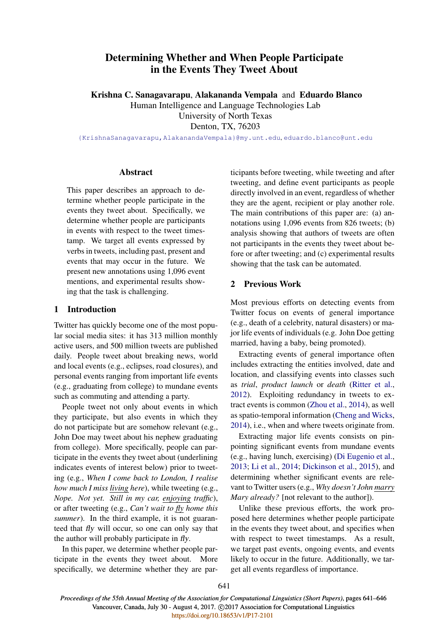# Determining Whether and When People Participate in the Events They Tweet About

Krishna C. Sanagavarapu, Alakananda Vempala and Eduardo Blanco

Human Intelligence and Language Technologies Lab University of North Texas

Denton, TX, 76203

{KrishnaSanagavarapu,AlakanandaVempala}@my.unt.edu, eduardo.blanco@unt.edu

# Abstract

This paper describes an approach to determine whether people participate in the events they tweet about. Specifically, we determine whether people are participants in events with respect to the tweet timestamp. We target all events expressed by verbs in tweets, including past, present and events that may occur in the future. We present new annotations using 1,096 event mentions, and experimental results showing that the task is challenging.

# 1 Introduction

Twitter has quickly become one of the most popular social media sites: it has 313 million monthly active users, and 500 million tweets are published daily. People tweet about breaking news, world and local events (e.g., eclipses, road closures), and personal events ranging from important life events (e.g., graduating from college) to mundane events such as commuting and attending a party.

People tweet not only about events in which they participate, but also events in which they do not participate but are somehow relevant (e.g., John Doe may tweet about his nephew graduating from college). More specifically, people can participate in the events they tweet about (underlining indicates events of interest below) prior to tweeting (e.g., *When I come back to London, I realise how much I miss living here*), while tweeting (e.g., *Nope. Not yet. Still in my car, enjoying traffic*), or after tweeting (e.g., *Can't wait to fly home this summer*). In the third example, it is not guaranteed that fly will occur, so one can only say that the author will probably participate in fly.

In this paper, we determine whether people participate in the events they tweet about. More specifically, we determine whether they are participants before tweeting, while tweeting and after tweeting, and define event participants as people directly involved in an event, regardless of whether they are the agent, recipient or play another role. The main contributions of this paper are: (a) annotations using 1,096 events from 826 tweets; (b) analysis showing that authors of tweets are often not participants in the events they tweet about before or after tweeting; and (c) experimental results showing that the task can be automated.

# 2 Previous Work

Most previous efforts on detecting events from Twitter focus on events of general importance (e.g., death of a celebrity, natural disasters) or major life events of individuals (e.g. John Doe getting married, having a baby, being promoted).

Extracting events of general importance often includes extracting the entities involved, date and location, and classifying events into classes such as *trial*, *product launch* or *death* (Ritter et al., 2012). Exploiting redundancy in tweets to extract events is common (Zhou et al., 2014), as well as spatio-temporal information (Cheng and Wicks, 2014), i.e., when and where tweets originate from.

Extracting major life events consists on pinpointing significant events from mundane events (e.g., having lunch, exercising) (Di Eugenio et al., 2013; Li et al., 2014; Dickinson et al., 2015), and determining whether significant events are relevant to Twitter users (e.g., *Why doesn't John marry Mary already?* [not relevant to the author]).

Unlike these previous efforts, the work proposed here determines whether people participate in the events they tweet about, and specifies when with respect to tweet timestamps. As a result, we target past events, ongoing events, and events likely to occur in the future. Additionally, we target all events regardless of importance.

641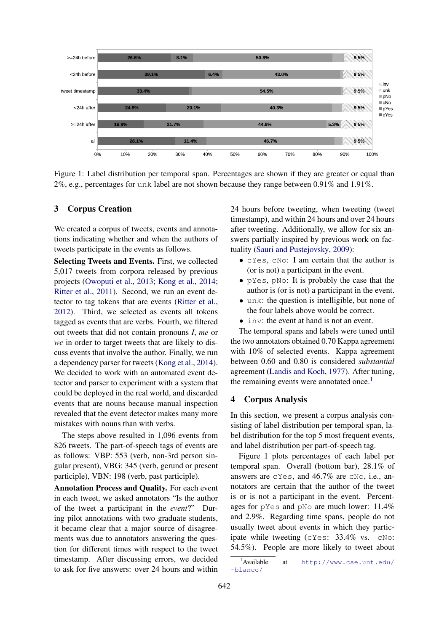

Figure 1: Label distribution per temporal span. Percentages are shown if they are greater or equal than 2%, e.g., percentages for unk label are not shown because they range between 0.91% and 1.91%.

# 3 Corpus Creation

We created a corpus of tweets, events and annotations indicating whether and when the authors of tweets participate in the events as follows.

Selecting Tweets and Events. First, we collected 5,017 tweets from corpora released by previous projects (Owoputi et al., 2013; Kong et al., 2014; Ritter et al., 2011). Second, we run an event detector to tag tokens that are events (Ritter et al., 2012). Third, we selected as events all tokens tagged as events that are verbs. Fourth, we filtered out tweets that did not contain pronouns *I*, *me* or *we* in order to target tweets that are likely to discuss events that involve the author. Finally, we run a dependency parser for tweets (Kong et al., 2014). We decided to work with an automated event detector and parser to experiment with a system that could be deployed in the real world, and discarded events that are nouns because manual inspection revealed that the event detector makes many more mistakes with nouns than with verbs.

The steps above resulted in 1,096 events from 826 tweets. The part-of-speech tags of events are as follows: VBP: 553 (verb, non-3rd person singular present), VBG: 345 (verb, gerund or present participle), VBN: 198 (verb, past participle).

Annotation Process and Quality. For each event in each tweet, we asked annotators "Is the author of the tweet a participant in the *event*?" During pilot annotations with two graduate students, it became clear that a major source of disagreements was due to annotators answering the question for different times with respect to the tweet timestamp. After discussing errors, we decided to ask for five answers: over 24 hours and within 24 hours before tweeting, when tweeting (tweet timestamp), and within 24 hours and over 24 hours after tweeting. Additionally, we allow for six answers partially inspired by previous work on factuality (Sauri and Pustejovsky, 2009):

- cYes, cNo: I am certain that the author is (or is not) a participant in the event.
- pYes, pNo: It is probably the case that the author is (or is not) a participant in the event.
- unk: the question is intelligible, but none of the four labels above would be correct.
- inv: the event at hand is not an event.

The temporal spans and labels were tuned until the two annotators obtained 0.70 Kappa agreement with 10% of selected events. Kappa agreement between 0.60 and 0.80 is considered *substantial* agreement (Landis and Koch, 1977). After tuning, the remaining events were annotated once.<sup>1</sup>

#### 4 Corpus Analysis

In this section, we present a corpus analysis consisting of label distribution per temporal span, label distribution for the top 5 most frequent events, and label distribution per part-of-speech tag.

Figure 1 plots percentages of each label per temporal span. Overall (bottom bar), 28.1% of answers are cYes, and 46.7% are cNo, i.e., annotators are certain that the author of the tweet is or is not a participant in the event. Percentages for pYes and pNo are much lower: 11.4% and 2.9%. Regarding time spans, people do not usually tweet about events in which they participate while tweeting (cYes: 33.4% vs. cNo: 54.5%). People are more likely to tweet about

<sup>1</sup>Available at http://www.cse.unt.edu/ ˜blanco/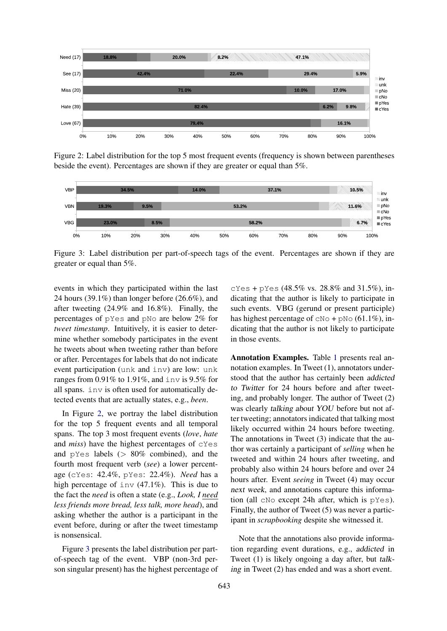

Figure 2: Label distribution for the top 5 most frequent events (frequency is shown between parentheses beside the event). Percentages are shown if they are greater or equal than 5%.



Figure 3: Label distribution per part-of-speech tags of the event. Percentages are shown if they are greater or equal than 5%.

events in which they participated within the last 24 hours (39.1%) than longer before (26.6%), and after tweeting (24.9% and 16.8%). Finally, the percentages of pYes and pNo are below 2% for *tweet timestamp*. Intuitively, it is easier to determine whether somebody participates in the event he tweets about when tweeting rather than before or after. Percentages for labels that do not indicate event participation (unk and inv) are low: unk ranges from 0.91% to 1.91%, and inv is 9.5% for all spans. inv is often used for automatically detected events that are actually states, e.g., *been*.

In Figure 2, we portray the label distribution for the top 5 frequent events and all temporal spans. The top 3 most frequent events (*love*, *hate* and *miss*) have the highest percentages of cYes and  $pYes$  labels ( $> 80\%$  combined), and the fourth most frequent verb (*see*) a lower percentage (cYes: 42.4%, pYes: 22.4%). *Need* has a high percentage of inv (47.1%). This is due to the fact the *need* is often a state (e.g., *Look, I need less friends more bread, less talk, more head*), and asking whether the author is a participant in the event before, during or after the tweet timestamp is nonsensical.

Figure 3 presents the label distribution per partof-speech tag of the event. VBP (non-3rd person singular present) has the highest percentage of

cYes + pYes (48.5% vs. 28.8% and 31.5%), indicating that the author is likely to participate in such events. VBG (gerund or present participle) has highest percentage of  $CNO + pNO$  (61.1%), indicating that the author is not likely to participate in those events.

Annotation Examples. Table 1 presents real annotation examples. In Tweet (1), annotators understood that the author has certainly been addicted to Twitter for 24 hours before and after tweeting, and probably longer. The author of Tweet (2) was clearly talking about YOU before but not after tweeting; annotators indicated that talking most likely occurred within 24 hours before tweeting. The annotations in Tweet (3) indicate that the author was certainly a participant of *selling* when he tweeted and within 24 hours after tweeting, and probably also within 24 hours before and over 24 hours after. Event *seeing* in Tweet (4) may occur next week, and annotations capture this information (all cNo except 24h after, which is pYes). Finally, the author of Tweet (5) was never a participant in *scrapbooking* despite she witnessed it.

Note that the annotations also provide information regarding event durations, e.g., addicted in Tweet (1) is likely ongoing a day after, but talking in Tweet (2) has ended and was a short event.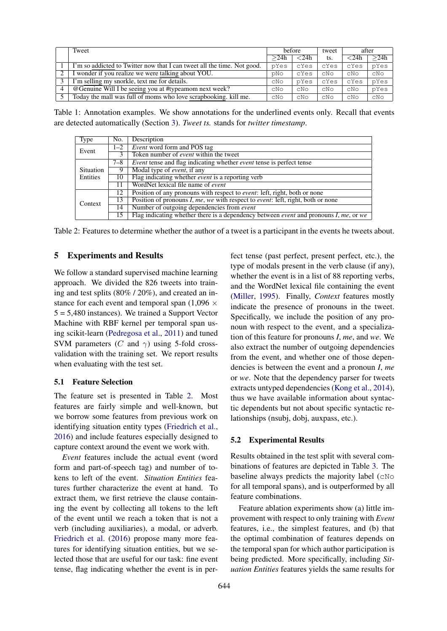| Tweet                                                                   |      | before        | tweet | after      |      |
|-------------------------------------------------------------------------|------|---------------|-------|------------|------|
|                                                                         | >24h | $\langle 24h$ | ts.   | $<$ 24 $h$ | >24h |
| I'm so addicted to Twitter now that I can tweet all the time. Not good. | pYes | cYes          | cYes  | cYes       | pYes |
| I wonder if you realize we were talking about YOU.                      | pNo  | cYes          | CNO   | CNO        | CNO  |
| I'm selling my snorkle, text me for details.                            | CNO  | pYes          | cYes  | cYes       | pYes |
| @Genuine Will I be seeing you at #typeamom next week?                   | CNO  | CNO           | CNO   | CNO        | pYes |
| Today the mall was full of moms who love scrapbooking, kill me.         | CNO  | cNo           | CNO   | CNO        | CNO  |

Table 1: Annotation examples. We show annotations for the underlined events only. Recall that events are detected automatically (Section 3). *Tweet ts.* stands for *twitter timestamp*.

| Type             | No.     | Description                                                                                     |  |  |  |  |  |  |  |
|------------------|---------|-------------------------------------------------------------------------------------------------|--|--|--|--|--|--|--|
| Event            | $1 - 2$ | Event word form and POS tag                                                                     |  |  |  |  |  |  |  |
|                  |         | Token number of <i>event</i> within the tweet                                                   |  |  |  |  |  |  |  |
|                  | $7 - 8$ | <i>Event</i> tense and flag indicating whether <i>event</i> tense is perfect tense              |  |  |  |  |  |  |  |
| <b>Situation</b> |         | Modal type of <i>event</i> , if any                                                             |  |  |  |  |  |  |  |
| Entities         | 10      | Flag indicating whether <i>event</i> is a reporting verb                                        |  |  |  |  |  |  |  |
|                  | 11      | WordNet lexical file name of event                                                              |  |  |  |  |  |  |  |
|                  | 12      | Position of any pronouns with respect to <i>event</i> : left, right, both or none               |  |  |  |  |  |  |  |
| Context          | 13      | Position of pronouns $I$ , me, we with respect to event: left, right, both or none              |  |  |  |  |  |  |  |
|                  | 14      | Number of outgoing dependencies from event                                                      |  |  |  |  |  |  |  |
|                  | 15      | Flag indicating whether there is a dependency between <i>event</i> and pronouns $I$ , me, or we |  |  |  |  |  |  |  |

Table 2: Features to determine whether the author of a tweet is a participant in the events he tweets about.

# 5 Experiments and Results

We follow a standard supervised machine learning approach. We divided the 826 tweets into training and test splits (80% / 20%), and created an instance for each event and temporal span (1,096  $\times$ 5 = 5,480 instances). We trained a Support Vector Machine with RBF kernel per temporal span using scikit-learn (Pedregosa et al., 2011) and tuned SVM parameters (C and  $\gamma$ ) using 5-fold crossvalidation with the training set. We report results when evaluating with the test set.

#### 5.1 Feature Selection

The feature set is presented in Table 2. Most features are fairly simple and well-known, but we borrow some features from previous work on identifying situation entity types (Friedrich et al., 2016) and include features especially designed to capture context around the event we work with.

*Event* features include the actual event (word form and part-of-speech tag) and number of tokens to left of the event. *Situation Entities* features further characterize the event at hand. To extract them, we first retrieve the clause containing the event by collecting all tokens to the left of the event until we reach a token that is not a verb (including auxiliaries), a modal, or adverb. Friedrich et al. (2016) propose many more features for identifying situation entities, but we selected those that are useful for our task: fine event tense, flag indicating whether the event is in perfect tense (past perfect, present perfect, etc.), the type of modals present in the verb clause (if any), whether the event is in a list of 88 reporting verbs, and the WordNet lexical file containing the event (Miller, 1995). Finally, *Context* features mostly indicate the presence of pronouns in the tweet. Specifically, we include the position of any pronoun with respect to the event, and a specialization of this feature for pronouns *I*, *me*, and *we*. We also extract the number of outgoing dependencies from the event, and whether one of those dependencies is between the event and a pronoun *I*, *me* or *we*. Note that the dependency parser for tweets extracts untyped dependencies (Kong et al., 2014), thus we have available information about syntactic dependents but not about specific syntactic relationships (nsubj, dobj, auxpass, etc.).

#### 5.2 Experimental Results

Results obtained in the test split with several combinations of features are depicted in Table 3. The baseline always predicts the majority label ( $cN$ o for all temporal spans), and is outperformed by all feature combinations.

Feature ablation experiments show (a) little improvement with respect to only training with *Event* features, i.e., the simplest features, and (b) that the optimal combination of features depends on the temporal span for which author participation is being predicted. More specifically, including *Situation Entities* features yields the same results for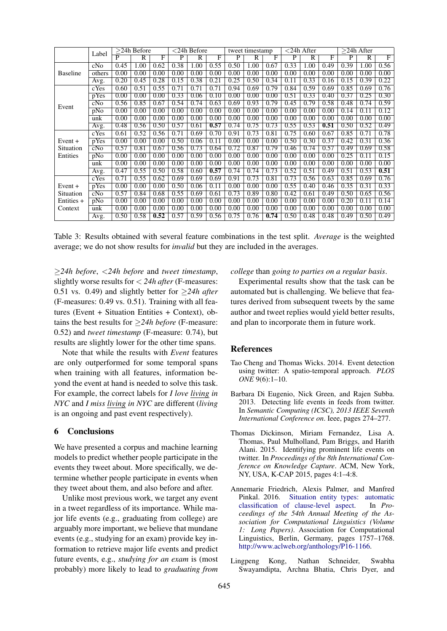|                 | Label           | $\overline{>24}$ h Before |                       |      | $<$ 24h Before |                       |      | tweet timestamp |                       |      | $<$ 24h After  |                |      | $>24h$ After |                         |            |
|-----------------|-----------------|---------------------------|-----------------------|------|----------------|-----------------------|------|-----------------|-----------------------|------|----------------|----------------|------|--------------|-------------------------|------------|
|                 |                 | $\overline{\mathbf{P}}$   | $\overline{\text{R}}$ | F    | P              | $\overline{\text{R}}$ | F    | P               | $\overline{\text{R}}$ | F    | $\overline{P}$ | $\overline{R}$ | F    | P            | $\overline{\mathsf{R}}$ | $_{\rm F}$ |
|                 | cNo             | 0.45                      | 1.00                  | 0.62 | 0.38           | 1.00                  | 0.55 | 0.50            | 1.00                  | 0.67 | 0.33           | 1.00           | 0.49 | 0.39         | 1.00                    | 0.56       |
| <b>Baseline</b> | others          | 0.00                      | 0.00                  | 0.00 | 0.00           | 0.00                  | 0.00 | 0.00            | 0.00                  | 0.00 | 0.00           | 0.00           | 0.00 | 0.00         | 0.00                    | 0.00       |
|                 | Avg.            | 0.20                      | 0.45                  | 0.28 | 0.15           | 0.38                  | 0.21 | 0.25            | 0.50                  | 0.34 | 0.11           | 0.33           | 0.16 | 0.15         | 0.39                    | 0.22       |
|                 | cYes            | 0.60                      | 0.51                  | 0.55 | 0.71           | 0.71                  | 0.71 | 0.94            | 0.69                  | 0.79 | 0.84           | 0.59           | 0.69 | 0.85         | 0.69                    | 0.76       |
|                 | pYes            | 0.00                      | 0.00                  | 0.00 | 0.33           | 0.06                  | 0.10 | 0.00            | 0.00                  | 0.00 | 0.51           | 0.33           | 0.40 | 0.37         | 0.25                    | 0.30       |
| Event           | cN <sub>0</sub> | 0.56                      | 0.85                  | 0.67 | 0.54           | 0.74                  | 0.63 | 0.69            | 0.93                  | 0.79 | 0.45           | 0.79           | 0.58 | 0.48         | 0.74                    | 0.59       |
|                 | pNo             | 0.00                      | 0.00                  | 0.00 | 0.00           | 0.00                  | 0.00 | 0.00            | 0.00                  | 0.00 | 0.00           | 0.00           | 0.00 | 0.14         | 0.11                    | 0.12       |
|                 | unk             | 0.00                      | 0.00                  | 0.00 | 0.00           | 0.00                  | 0.00 | 0.00            | 0.00                  | 0.00 | 0.00           | 0.00           | 0.00 | 0.00         | 0.00                    | 0.00       |
|                 | Avg.            | 0.48                      | 0.56                  | 0.50 | 0.57           | 0.61                  | 0.57 | 0.74            | 0.75                  | 0.73 | 0.55           | 0.53           | 0.51 | 0.50         | 0.52                    | 0.49       |
|                 | cYes            | 0.61                      | 0.52                  | 0.56 | 0.71           | 0.69                  | 0.70 | 0.91            | 0.73                  | 0.81 | 0.75           | 0.60           | 0.67 | 0.85         | 0.71                    | 0.78       |
| $Event +$       | pYes            | 0.00                      | 0.00                  | 0.00 | 0.50           | 0.06                  | 0.11 | 0.00            | 0.00                  | 0.00 | 0.50           | 0.30           | 0.37 | 0.42         | 0.31                    | 0.36       |
| Situation       | cN <sub>0</sub> | 0.57                      | 0.81                  | 0.67 | 0.56           | 0.73                  | 0.64 | 0.72            | 0.87                  | 0.79 | 0.46           | 0.74           | 0.57 | 0.49         | 0.69                    | 0.58       |
| Entities        | pNo             | 0.00                      | 0.00                  | 0.00 | 0.00           | 0.00                  | 0.00 | 0.00            | 0.00                  | 0.00 | 0.00           | 0.00           | 0.00 | 0.25         | 0.11                    | 0.15       |
|                 | unk             | 0.00                      | 0.00                  | 0.00 | 0.00           | 0.00                  | 0.00 | 0.00            | 0.00                  | 0.00 | 0.00           | 0.00           | 0.00 | 0.00         | 0.00                    | 0.00       |
|                 | Avg.            | 0.47                      | 0.55                  | 0.50 | 0.58           | 0.60                  | 0.57 | 0.74            | 0.74                  | 0.73 | 0.52           | 0.51           | 0.49 | 0.51         | 0.53                    | 0.51       |
|                 | cYes            | 0.71                      | 0.55                  | 0.62 | 0.69           | 0.69                  | 0.69 | 0.91            | 0.73                  | 0.81 | 0.73           | 0.56           | 0.63 | 0.85         | 0.69                    | 0.76       |
| $Event +$       | pYes            | 0.00                      | 0.00                  | 0.00 | 0.50           | 0.06                  | 0.11 | 0.00            | 0.00                  | 0.00 | 0.55           | 0.40           | 0.46 | 0.35         | 0.31                    | 0.33       |
| Situation       | cNo             | 0.57                      | 0.84                  | 0.68 | 0.55           | 0.69                  | 0.61 | 0.73            | 0.89                  | 0.80 | 0.42           | 0.61           | 0.49 | 0.50         | 0.65                    | 0.56       |
| Entities +      | pNo             | 0.00                      | 0.00                  | 0.00 | 0.00           | 0.00                  | 0.00 | 0.00            | 0.00                  | 0.00 | 0.00           | 0.00           | 0.00 | 0.20         | 0.11                    | 0.14       |
| Context         | unk             | 0.00                      | 0.00                  | 0.00 | 0.00           | 0.00                  | 0.00 | 0.00            | 0.00                  | 0.00 | 0.00           | 0.00           | 0.00 | 0.00         | 0.00                    | 0.00       |
|                 | Avg.            | 0.50                      | 0.58                  | 0.52 | 0.57           | 0.59                  | 0.56 | 0.75            | 0.76                  | 0.74 | 0.50           | 0.48           | 0.48 | 0.49         | 0.50                    | 0.49       |

Table 3: Results obtained with several feature combinations in the test split. *Average* is the weighted average; we do not show results for *invalid* but they are included in the averages.

≥*24h before*, <*24h before* and *tweet timestamp*, slightly worse results for < *24h after* (F-measures: 0.51 vs. 0.49) and slightly better for ≥*24h after* (F-measures: 0.49 vs. 0.51). Training with all features (Event + Situation Entities + Context), obtains the best results for ≥*24h before* (F-measure: 0.52) and *tweet timestamp* (F-measure: 0.74), but results are slightly lower for the other time spans.

Note that while the results with *Event* features are only outperformed for some temporal spans when training with all features, information beyond the event at hand is needed to solve this task. For example, the correct labels for *I love living in NYC* and *I miss living in NYC* are different (*living* is an ongoing and past event respectively).

#### 6 Conclusions

We have presented a corpus and machine learning models to predict whether people participate in the events they tweet about. More specifically, we determine whether people participate in events when they tweet about them, and also before and after.

Unlike most previous work, we target any event in a tweet regardless of its importance. While major life events (e.g., graduating from college) are arguably more important, we believe that mundane events (e.g., studying for an exam) provide key information to retrieve major life events and predict future events, e.g., *studying for an exam* is (most probably) more likely to lead to *graduating from* *college* than *going to parties on a regular basis*.

Experimental results show that the task can be automated but is challenging. We believe that features derived from subsequent tweets by the same author and tweet replies would yield better results, and plan to incorporate them in future work.

#### References

- Tao Cheng and Thomas Wicks. 2014. Event detection using twitter: A spatio-temporal approach. *PLOS ONE* 9(6):1–10.
- Barbara Di Eugenio, Nick Green, and Rajen Subba. 2013. Detecting life events in feeds from twitter. In *Semantic Computing (ICSC), 2013 IEEE Seventh International Conference on*. Ieee, pages 274–277.
- Thomas Dickinson, Miriam Fernandez, Lisa A. Thomas, Paul Mulholland, Pam Briggs, and Harith Alani. 2015. Identifying prominent life events on twitter. In *Proceedings of the 8th International Conference on Knowledge Capture*. ACM, New York, NY, USA, K-CAP 2015, pages 4:1–4:8.
- Annemarie Friedrich, Alexis Palmer, and Manfred Pinkal. 2016. Situation entity types: automatic classification of clause-level aspect. In *Pro*classification of clause-level aspect. *ceedings of the 54th Annual Meeting of the Association for Computational Linguistics (Volume 1: Long Papers)*. Association for Computational Linguistics, Berlin, Germany, pages 1757–1768. http://www.aclweb.org/anthology/P16-1166.
- Lingpeng Kong, Nathan Schneider, Swabha Swayamdipta, Archna Bhatia, Chris Dyer, and